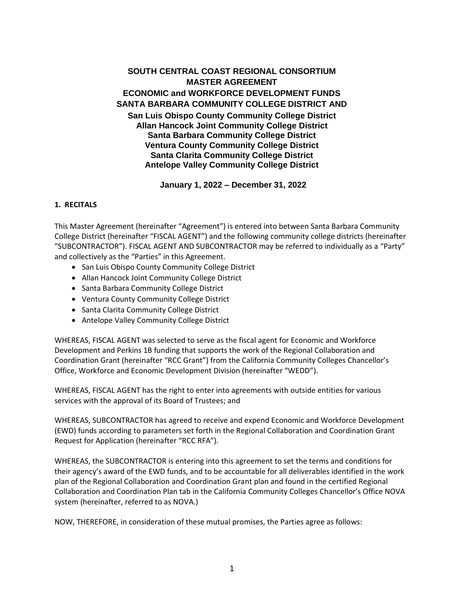# **SOUTH CENTRAL COAST REGIONAL CONSORTIUM MASTER AGREEMENT ECONOMIC and WORKFORCE DEVELOPMENT FUNDS SANTA BARBARA COMMUNITY COLLEGE DISTRICT AND**

**San Luis Obispo County Community College District Allan Hancock Joint Community College District Santa Barbara Community College District Ventura County Community College District Santa Clarita Community College District Antelope Valley Community College District**

**January 1, 2022 – December 31, 2022**

### **1. RECITALS**

This Master Agreement (hereinafter "Agreement") is entered into between Santa Barbara Community College District (hereinafter "FISCAL AGENT") and the following community college districts (hereinafter "SUBCONTRACTOR"). FISCAL AGENT AND SUBCONTRACTOR may be referred to individually as a "Party" and collectively as the "Parties" in this Agreement.

- San Luis Obispo County Community College District
- Allan Hancock Joint Community College District
- Santa Barbara Community College District
- Ventura County Community College District
- Santa Clarita Community College District
- Antelope Valley Community College District

WHEREAS, FISCAL AGENT was selected to serve as the fiscal agent for Economic and Workforce Development and Perkins 1B funding that supports the work of the Regional Collaboration and Coordination Grant (hereinafter "RCC Grant") from the California Community Colleges Chancellor's Office, Workforce and Economic Development Division (hereinafter "WEDD").

WHEREAS, FISCAL AGENT has the right to enter into agreements with outside entities for various services with the approval of its Board of Trustees; and

WHEREAS, SUBCONTRACTOR has agreed to receive and expend Economic and Workforce Development (EWD) funds according to parameters set forth in the Regional Collaboration and Coordination Grant Request for Application (hereinafter "RCC RFA").

WHEREAS, the SUBCONTRACTOR is entering into this agreement to set the terms and conditions for their agency's award of the EWD funds, and to be accountable for all deliverables identified in the work plan of the Regional Collaboration and Coordination Grant plan and found in the certified Regional Collaboration and Coordination Plan tab in the California Community Colleges Chancellor's Office NOVA system (hereinafter, referred to as NOVA.)

NOW, THEREFORE, in consideration of these mutual promises, the Parties agree as follows: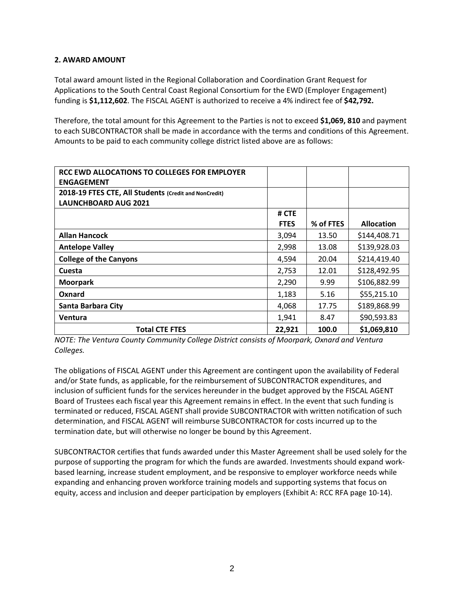### **2. AWARD AMOUNT**

Total award amount listed in the Regional Collaboration and Coordination Grant Request for Applications to the South Central Coast Regional Consortium for the EWD (Employer Engagement) funding is **\$1,112,602**. The FISCAL AGENT is authorized to receive a 4% indirect fee of **\$42,792.**

Therefore, the total amount for this Agreement to the Parties is not to exceed **\$1,069, 810** and payment to each SUBCONTRACTOR shall be made in accordance with the terms and conditions of this Agreement. Amounts to be paid to each community college district listed above are as follows:

| RCC EWD ALLOCATIONS TO COLLEGES FOR EMPLOYER          |             |           |                   |
|-------------------------------------------------------|-------------|-----------|-------------------|
| <b>ENGAGEMENT</b>                                     |             |           |                   |
| 2018-19 FTES CTE, All Students (Credit and NonCredit) |             |           |                   |
| <b>LAUNCHBOARD AUG 2021</b>                           |             |           |                   |
|                                                       | # CTE       |           |                   |
|                                                       | <b>FTES</b> | % of FTES | <b>Allocation</b> |
| <b>Allan Hancock</b>                                  | 3,094       | 13.50     | \$144,408.71      |
| <b>Antelope Valley</b>                                | 2,998       | 13.08     | \$139,928.03      |
| <b>College of the Canyons</b>                         | 4,594       | 20.04     | \$214,419.40      |
| Cuesta                                                | 2,753       | 12.01     | \$128,492.95      |
| <b>Moorpark</b>                                       | 2,290       | 9.99      | \$106,882.99      |
| Oxnard                                                | 1,183       | 5.16      | \$55,215.10       |
| Santa Barbara City                                    | 4,068       | 17.75     | \$189,868.99      |
| Ventura                                               | 1,941       | 8.47      | \$90,593.83       |
| <b>Total CTE FTES</b>                                 | 22,921      | 100.0     | \$1,069,810       |

*NOTE: The Ventura County Community College District consists of Moorpark, Oxnard and Ventura Colleges.*

The obligations of FISCAL AGENT under this Agreement are contingent upon the availability of Federal and/or State funds, as applicable, for the reimbursement of SUBCONTRACTOR expenditures, and inclusion of sufficient funds for the services hereunder in the budget approved by the FISCAL AGENT Board of Trustees each fiscal year this Agreement remains in effect. In the event that such funding is terminated or reduced, FISCAL AGENT shall provide SUBCONTRACTOR with written notification of such determination, and FISCAL AGENT will reimburse SUBCONTRACTOR for costs incurred up to the termination date, but will otherwise no longer be bound by this Agreement.

SUBCONTRACTOR certifies that funds awarded under this Master Agreement shall be used solely for the purpose of supporting the program for which the funds are awarded. Investments should expand workbased learning, increase student employment, and be responsive to employer workforce needs while expanding and enhancing proven workforce training models and supporting systems that focus on equity, access and inclusion and deeper participation by employers (Exhibit A: RCC RFA page 10-14).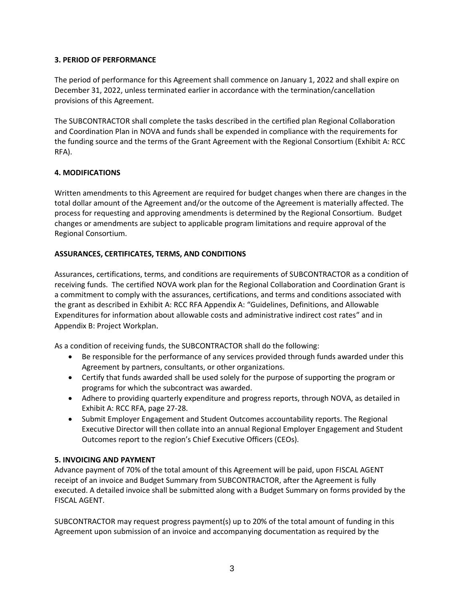# **3. PERIOD OF PERFORMANCE**

The period of performance for this Agreement shall commence on January 1, 2022 and shall expire on December 31, 2022, unless terminated earlier in accordance with the termination/cancellation provisions of this Agreement.

The SUBCONTRACTOR shall complete the tasks described in the certified plan Regional Collaboration and Coordination Plan in NOVA and funds shall be expended in compliance with the requirements for the funding source and the terms of the Grant Agreement with the Regional Consortium (Exhibit A: RCC RFA).

# **4. MODIFICATIONS**

Written amendments to this Agreement are required for budget changes when there are changes in the total dollar amount of the Agreement and/or the outcome of the Agreement is materially affected. The process for requesting and approving amendments is determined by the Regional Consortium. Budget changes or amendments are subject to applicable program limitations and require approval of the Regional Consortium.

### **ASSURANCES, CERTIFICATES, TERMS, AND CONDITIONS**

Assurances, certifications, terms, and conditions are requirements of SUBCONTRACTOR as a condition of receiving funds. The certified NOVA work plan for the Regional Collaboration and Coordination Grant is a commitment to comply with the assurances, certifications, and terms and conditions associated with the grant as described in Exhibit A: RCC RFA Appendix A: "Guidelines, Definitions, and Allowable Expenditures for information about allowable costs and administrative indirect cost rates" and in Appendix B: Project Workplan.

As a condition of receiving funds, the SUBCONTRACTOR shall do the following:

- Be responsible for the performance of any services provided through funds awarded under this Agreement by partners, consultants, or other organizations.
- Certify that funds awarded shall be used solely for the purpose of supporting the program or programs for which the subcontract was awarded.
- Adhere to providing quarterly expenditure and progress reports, through NOVA, as detailed in Exhibit A: RCC RFA, page 27-28.
- Submit Employer Engagement and Student Outcomes accountability reports. The Regional Executive Director will then collate into an annual Regional Employer Engagement and Student Outcomes report to the region's Chief Executive Officers (CEOs).

# **5. INVOICING AND PAYMENT**

Advance payment of 70% of the total amount of this Agreement will be paid, upon FISCAL AGENT receipt of an invoice and Budget Summary from SUBCONTRACTOR, after the Agreement is fully executed. A detailed invoice shall be submitted along with a Budget Summary on forms provided by the FISCAL AGENT.

SUBCONTRACTOR may request progress payment(s) up to 20% of the total amount of funding in this Agreement upon submission of an invoice and accompanying documentation as required by the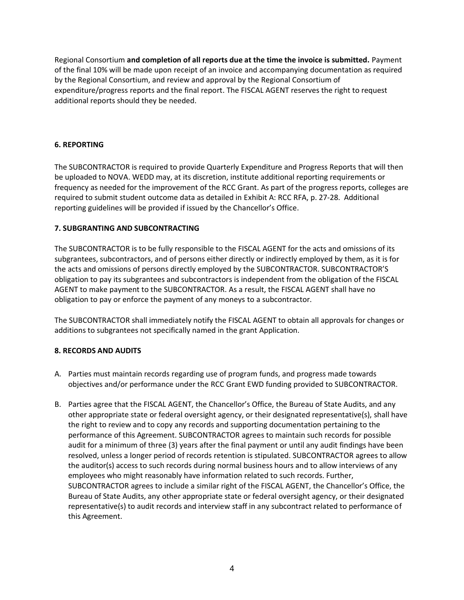Regional Consortium **and completion of all reports due at the time the invoice is submitted.** Payment of the final 10% will be made upon receipt of an invoice and accompanying documentation as required by the Regional Consortium, and review and approval by the Regional Consortium of expenditure/progress reports and the final report. The FISCAL AGENT reserves the right to request additional reports should they be needed.

### **6. REPORTING**

The SUBCONTRACTOR is required to provide Quarterly Expenditure and Progress Reports that will then be uploaded to NOVA. WEDD may, at its discretion, institute additional reporting requirements or frequency as needed for the improvement of the RCC Grant. As part of the progress reports, colleges are required to submit student outcome data as detailed in Exhibit A: RCC RFA, p. 27-28. Additional reporting guidelines will be provided if issued by the Chancellor's Office.

#### **7. SUBGRANTING AND SUBCONTRACTING**

The SUBCONTRACTOR is to be fully responsible to the FISCAL AGENT for the acts and omissions of its subgrantees, subcontractors, and of persons either directly or indirectly employed by them, as it is for the acts and omissions of persons directly employed by the SUBCONTRACTOR. SUBCONTRACTOR'S obligation to pay its subgrantees and subcontractors is independent from the obligation of the FISCAL AGENT to make payment to the SUBCONTRACTOR. As a result, the FISCAL AGENT shall have no obligation to pay or enforce the payment of any moneys to a subcontractor.

The SUBCONTRACTOR shall immediately notify the FISCAL AGENT to obtain all approvals for changes or additions to subgrantees not specifically named in the grant Application.

# **8. RECORDS AND AUDITS**

- A. Parties must maintain records regarding use of program funds, and progress made towards objectives and/or performance under the RCC Grant EWD funding provided to SUBCONTRACTOR.
- B. Parties agree that the FISCAL AGENT, the Chancellor's Office, the Bureau of State Audits, and any other appropriate state or federal oversight agency, or their designated representative(s), shall have the right to review and to copy any records and supporting documentation pertaining to the performance of this Agreement. SUBCONTRACTOR agrees to maintain such records for possible audit for a minimum of three (3) years after the final payment or until any audit findings have been resolved, unless a longer period of records retention is stipulated. SUBCONTRACTOR agrees to allow the auditor(s) access to such records during normal business hours and to allow interviews of any employees who might reasonably have information related to such records. Further, SUBCONTRACTOR agrees to include a similar right of the FISCAL AGENT, the Chancellor's Office, the Bureau of State Audits, any other appropriate state or federal oversight agency, or their designated representative(s) to audit records and interview staff in any subcontract related to performance of this Agreement.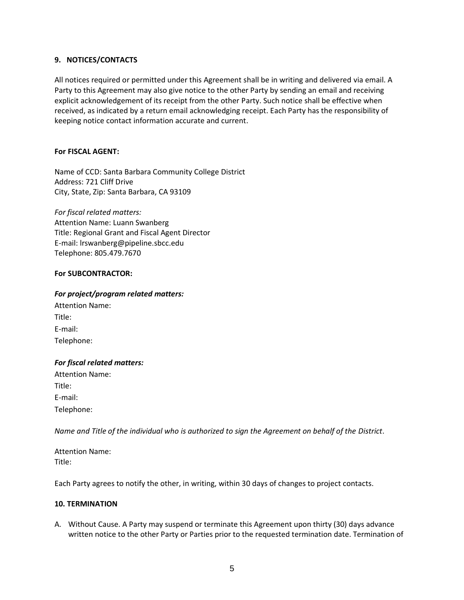#### **9. NOTICES/CONTACTS**

All notices required or permitted under this Agreement shall be in writing and delivered via email. A Party to this Agreement may also give notice to the other Party by sending an email and receiving explicit acknowledgement of its receipt from the other Party. Such notice shall be effective when received, as indicated by a return email acknowledging receipt. Each Party has the responsibility of keeping notice contact information accurate and current.

#### **For FISCAL AGENT:**

Name of CCD: Santa Barbara Community College District Address: 721 Cliff Drive City, State, Zip: Santa Barbara, CA 93109

*For fiscal related matters:* Attention Name: Luann Swanberg Title: Regional Grant and Fiscal Agent Director E-mail: lrswanberg@pipeline.sbcc.edu Telephone: 805.479.7670

#### **For SUBCONTRACTOR:**

### *For project/program related matters:*

| <b>Attention Name:</b> |  |
|------------------------|--|
| Title:                 |  |
| E-mail:                |  |
| Telephone:             |  |

#### *For fiscal related matters:*

Attention Name: Title: E-mail: Telephone:

*Name and Title of the individual who is authorized to sign the Agreement on behalf of the District*.

Attention Name: Title:

Each Party agrees to notify the other, in writing, within 30 days of changes to project contacts.

#### **10. TERMINATION**

A. Without Cause. A Party may suspend or terminate this Agreement upon thirty (30) days advance written notice to the other Party or Parties prior to the requested termination date. Termination of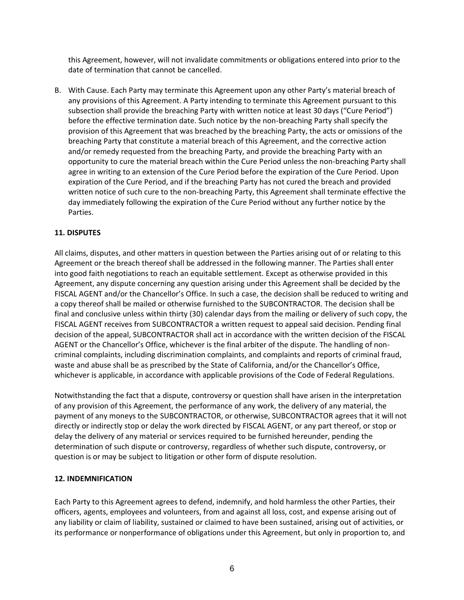this Agreement, however, will not invalidate commitments or obligations entered into prior to the date of termination that cannot be cancelled.

B. With Cause. Each Party may terminate this Agreement upon any other Party's material breach of any provisions of this Agreement. A Party intending to terminate this Agreement pursuant to this subsection shall provide the breaching Party with written notice at least 30 days ("Cure Period") before the effective termination date. Such notice by the non-breaching Party shall specify the provision of this Agreement that was breached by the breaching Party, the acts or omissions of the breaching Party that constitute a material breach of this Agreement, and the corrective action and/or remedy requested from the breaching Party, and provide the breaching Party with an opportunity to cure the material breach within the Cure Period unless the non-breaching Party shall agree in writing to an extension of the Cure Period before the expiration of the Cure Period. Upon expiration of the Cure Period, and if the breaching Party has not cured the breach and provided written notice of such cure to the non-breaching Party, this Agreement shall terminate effective the day immediately following the expiration of the Cure Period without any further notice by the Parties.

# **11. DISPUTES**

All claims, disputes, and other matters in question between the Parties arising out of or relating to this Agreement or the breach thereof shall be addressed in the following manner. The Parties shall enter into good faith negotiations to reach an equitable settlement. Except as otherwise provided in this Agreement, any dispute concerning any question arising under this Agreement shall be decided by the FISCAL AGENT and/or the Chancellor's Office. In such a case, the decision shall be reduced to writing and a copy thereof shall be mailed or otherwise furnished to the SUBCONTRACTOR. The decision shall be final and conclusive unless within thirty (30) calendar days from the mailing or delivery of such copy, the FISCAL AGENT receives from SUBCONTRACTOR a written request to appeal said decision. Pending final decision of the appeal, SUBCONTRACTOR shall act in accordance with the written decision of the FISCAL AGENT or the Chancellor's Office, whichever is the final arbiter of the dispute. The handling of noncriminal complaints, including discrimination complaints, and complaints and reports of criminal fraud, waste and abuse shall be as prescribed by the State of California, and/or the Chancellor's Office, whichever is applicable, in accordance with applicable provisions of the Code of Federal Regulations.

Notwithstanding the fact that a dispute, controversy or question shall have arisen in the interpretation of any provision of this Agreement, the performance of any work, the delivery of any material, the payment of any moneys to the SUBCONTRACTOR, or otherwise, SUBCONTRACTOR agrees that it will not directly or indirectly stop or delay the work directed by FISCAL AGENT, or any part thereof, or stop or delay the delivery of any material or services required to be furnished hereunder, pending the determination of such dispute or controversy, regardless of whether such dispute, controversy, or question is or may be subject to litigation or other form of dispute resolution.

#### **12. INDEMNIFICATION**

Each Party to this Agreement agrees to defend, indemnify, and hold harmless the other Parties, their officers, agents, employees and volunteers, from and against all loss, cost, and expense arising out of any liability or claim of liability, sustained or claimed to have been sustained, arising out of activities, or its performance or nonperformance of obligations under this Agreement, but only in proportion to, and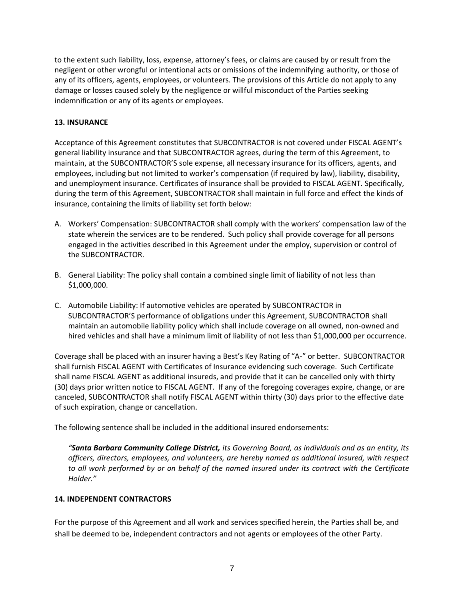to the extent such liability, loss, expense, attorney's fees, or claims are caused by or result from the negligent or other wrongful or intentional acts or omissions of the indemnifying authority, or those of any of its officers, agents, employees, or volunteers. The provisions of this Article do not apply to any damage or losses caused solely by the negligence or willful misconduct of the Parties seeking indemnification or any of its agents or employees.

### **13. INSURANCE**

Acceptance of this Agreement constitutes that SUBCONTRACTOR is not covered under FISCAL AGENT's general liability insurance and that SUBCONTRACTOR agrees, during the term of this Agreement, to maintain, at the SUBCONTRACTOR'S sole expense, all necessary insurance for its officers, agents, and employees, including but not limited to worker's compensation (if required by law), liability, disability, and unemployment insurance. Certificates of insurance shall be provided to FISCAL AGENT. Specifically, during the term of this Agreement, SUBCONTRACTOR shall maintain in full force and effect the kinds of insurance, containing the limits of liability set forth below:

- A. Workers' Compensation: SUBCONTRACTOR shall comply with the workers' compensation law of the state wherein the services are to be rendered. Such policy shall provide coverage for all persons engaged in the activities described in this Agreement under the employ, supervision or control of the SUBCONTRACTOR.
- B. General Liability: The policy shall contain a combined single limit of liability of not less than \$1,000,000.
- C. Automobile Liability: If automotive vehicles are operated by SUBCONTRACTOR in SUBCONTRACTOR'S performance of obligations under this Agreement, SUBCONTRACTOR shall maintain an automobile liability policy which shall include coverage on all owned, non-owned and hired vehicles and shall have a minimum limit of liability of not less than \$1,000,000 per occurrence.

Coverage shall be placed with an insurer having a Best's Key Rating of "A-" or better. SUBCONTRACTOR shall furnish FISCAL AGENT with Certificates of Insurance evidencing such coverage. Such Certificate shall name FISCAL AGENT as additional insureds, and provide that it can be cancelled only with thirty (30) days prior written notice to FISCAL AGENT. If any of the foregoing coverages expire, change, or are canceled, SUBCONTRACTOR shall notify FISCAL AGENT within thirty (30) days prior to the effective date of such expiration, change or cancellation.

The following sentence shall be included in the additional insured endorsements:

*"Santa Barbara Community College District, its Governing Board, as individuals and as an entity, its officers, directors, employees, and volunteers, are hereby named as additional insured, with respect to all work performed by or on behalf of the named insured under its contract with the Certificate Holder."*

#### **14. INDEPENDENT CONTRACTORS**

For the purpose of this Agreement and all work and services specified herein, the Parties shall be, and shall be deemed to be, independent contractors and not agents or employees of the other Party.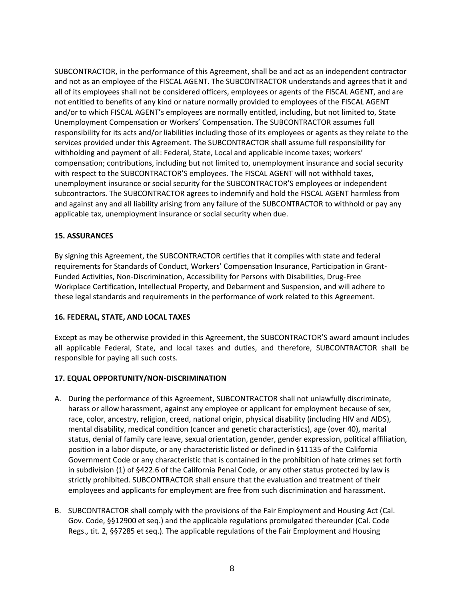SUBCONTRACTOR, in the performance of this Agreement, shall be and act as an independent contractor and not as an employee of the FISCAL AGENT. The SUBCONTRACTOR understands and agrees that it and all of its employees shall not be considered officers, employees or agents of the FISCAL AGENT, and are not entitled to benefits of any kind or nature normally provided to employees of the FISCAL AGENT and/or to which FISCAL AGENT's employees are normally entitled, including, but not limited to, State Unemployment Compensation or Workers' Compensation. The SUBCONTRACTOR assumes full responsibility for its acts and/or liabilities including those of its employees or agents as they relate to the services provided under this Agreement. The SUBCONTRACTOR shall assume full responsibility for withholding and payment of all: Federal, State, Local and applicable income taxes; workers' compensation; contributions, including but not limited to, unemployment insurance and social security with respect to the SUBCONTRACTOR'S employees. The FISCAL AGENT will not withhold taxes, unemployment insurance or social security for the SUBCONTRACTOR'S employees or independent subcontractors. The SUBCONTRACTOR agrees to indemnify and hold the FISCAL AGENT harmless from and against any and all liability arising from any failure of the SUBCONTRACTOR to withhold or pay any applicable tax, unemployment insurance or social security when due.

### **15. ASSURANCES**

By signing this Agreement, the SUBCONTRACTOR certifies that it complies with state and federal requirements for Standards of Conduct, Workers' Compensation Insurance, Participation in Grant-Funded Activities, Non-Discrimination, Accessibility for Persons with Disabilities, Drug-Free Workplace Certification, Intellectual Property, and Debarment and Suspension, and will adhere to these legal standards and requirements in the performance of work related to this Agreement.

#### **16. FEDERAL, STATE, AND LOCAL TAXES**

Except as may be otherwise provided in this Agreement, the SUBCONTRACTOR'S award amount includes all applicable Federal, State, and local taxes and duties, and therefore, SUBCONTRACTOR shall be responsible for paying all such costs.

# **17. EQUAL OPPORTUNITY/NON-DISCRIMINATION**

- A. During the performance of this Agreement, SUBCONTRACTOR shall not unlawfully discriminate, harass or allow harassment, against any employee or applicant for employment because of sex, race, color, ancestry, religion, creed, national origin, physical disability (including HIV and AIDS), mental disability, medical condition (cancer and genetic characteristics), age (over 40), marital status, denial of family care leave, sexual orientation, gender, gender expression, political affiliation, position in a labor dispute, or any characteristic listed or defined in §11135 of the California Government Code or any characteristic that is contained in the prohibition of hate crimes set forth in subdivision (1) of §422.6 of the California Penal Code, or any other status protected by law is strictly prohibited. SUBCONTRACTOR shall ensure that the evaluation and treatment of their employees and applicants for employment are free from such discrimination and harassment.
- B. SUBCONTRACTOR shall comply with the provisions of the Fair Employment and Housing Act (Cal. Gov. Code, §§12900 et seq.) and the applicable regulations promulgated thereunder (Cal. Code Regs., tit. 2, §§7285 et seq.). The applicable regulations of the Fair Employment and Housing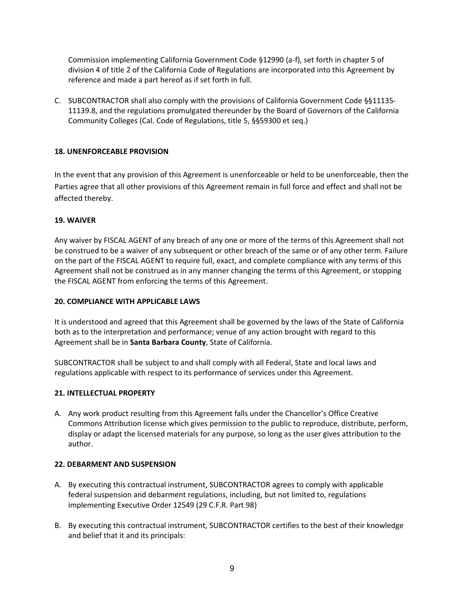Commission implementing California Government Code §12990 (a-f), set forth in chapter 5 of division 4 of title 2 of the California Code of Regulations are incorporated into this Agreement by reference and made a part hereof as if set forth in full.

C. SUBCONTRACTOR shall also comply with the provisions of California Government Code §§11135- 11139.8, and the regulations promulgated thereunder by the Board of Governors of the California Community Colleges (Cal. Code of Regulations, title 5, §§59300 et seq.)

# **18. UNENFORCEABLE PROVISION**

In the event that any provision of this Agreement is unenforceable or held to be unenforceable, then the Parties agree that all other provisions of this Agreement remain in full force and effect and shall not be affected thereby.

### **19. WAIVER**

Any waiver by FISCAL AGENT of any breach of any one or more of the terms of this Agreement shall not be construed to be a waiver of any subsequent or other breach of the same or of any other term. Failure on the part of the FISCAL AGENT to require full, exact, and complete compliance with any terms of this Agreement shall not be construed as in any manner changing the terms of this Agreement, or stopping the FISCAL AGENT from enforcing the terms of this Agreement.

#### **20. COMPLIANCE WITH APPLICABLE LAWS**

It is understood and agreed that this Agreement shall be governed by the laws of the State of California both as to the interpretation and performance; venue of any action brought with regard to this Agreement shall be in **Santa Barbara County**, State of California.

SUBCONTRACTOR shall be subject to and shall comply with all Federal, State and local laws and regulations applicable with respect to its performance of services under this Agreement.

#### **21. INTELLECTUAL PROPERTY**

A. Any work product resulting from this Agreement falls under the Chancellor's Office Creative Commons Attribution license which gives permission to the public to reproduce, distribute, perform, display or adapt the licensed materials for any purpose, so long as the user gives attribution to the author.

#### **22. DEBARMENT AND SUSPENSION**

- A. By executing this contractual instrument, SUBCONTRACTOR agrees to comply with applicable federal suspension and debarment regulations, including, but not limited to, regulations implementing Executive Order 12549 (29 C.F.R. Part 98)
- B. By executing this contractual instrument, SUBCONTRACTOR certifies to the best of their knowledge and belief that it and its principals: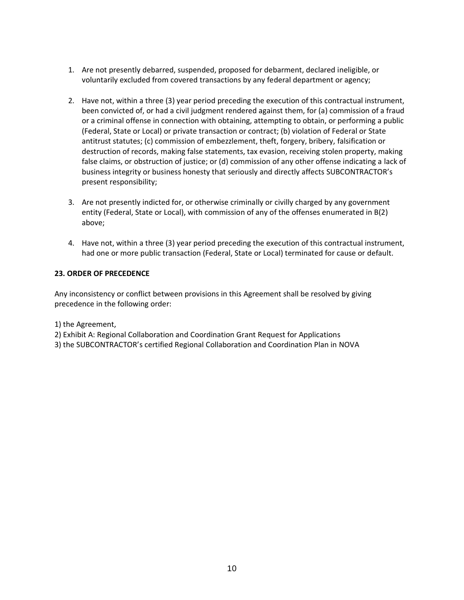- 1. Are not presently debarred, suspended, proposed for debarment, declared ineligible, or voluntarily excluded from covered transactions by any federal department or agency;
- 2. Have not, within a three (3) year period preceding the execution of this contractual instrument, been convicted of, or had a civil judgment rendered against them, for (a) commission of a fraud or a criminal offense in connection with obtaining, attempting to obtain, or performing a public (Federal, State or Local) or private transaction or contract; (b) violation of Federal or State antitrust statutes; (c) commission of embezzlement, theft, forgery, bribery, falsification or destruction of records, making false statements, tax evasion, receiving stolen property, making false claims, or obstruction of justice; or (d) commission of any other offense indicating a lack of business integrity or business honesty that seriously and directly affects SUBCONTRACTOR's present responsibility;
- 3. Are not presently indicted for, or otherwise criminally or civilly charged by any government entity (Federal, State or Local), with commission of any of the offenses enumerated in B(2) above;
- 4. Have not, within a three (3) year period preceding the execution of this contractual instrument, had one or more public transaction (Federal, State or Local) terminated for cause or default.

### **23. ORDER OF PRECEDENCE**

Any inconsistency or conflict between provisions in this Agreement shall be resolved by giving precedence in the following order:

- 1) the Agreement,
- 2) Exhibit A: Regional Collaboration and Coordination Grant Request for Applications
- 3) the SUBCONTRACTOR's certified Regional Collaboration and Coordination Plan in NOVA